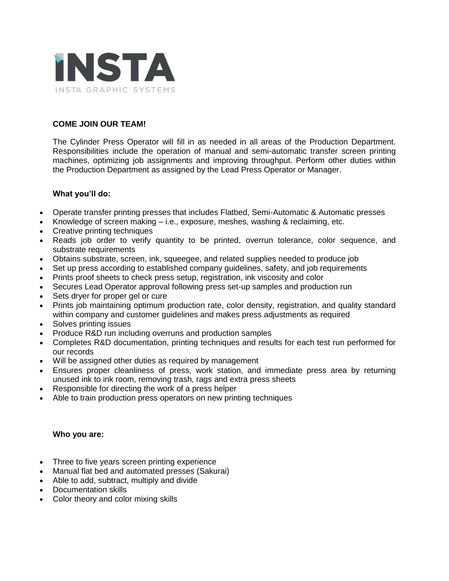

# **COME JOIN OUR TEAM!**

The Cylinder Press Operator will fill in as needed in all areas of the Production Department. Responsibilities include the operation of manual and semi-automatic transfer screen printing machines, optimizing job assignments and improving throughput. Perform other duties within the Production Department as assigned by the Lead Press Operator or Manager.

### **What you'll do:**

- Operate transfer printing presses that includes Flatbed, Semi-Automatic & Automatic presses
- Knowledge of screen making  $-$  i.e., exposure, meshes, washing & reclaiming, etc.
- Creative printing techniques
- Reads job order to verify quantity to be printed, overrun tolerance, color sequence, and substrate requirements
- Obtains substrate, screen, ink, squeegee, and related supplies needed to produce job
- Set up press according to established company guidelines, safety, and job requirements
- Prints proof sheets to check press setup, registration, ink viscosity and color
- Secures Lead Operator approval following press set-up samples and production run
- Sets dryer for proper gel or cure
- Prints job maintaining optimum production rate, color density, registration, and quality standard within company and customer guidelines and makes press adjustments as required
- Solves printing issues
- Produce R&D run including overruns and production samples
- Completes R&D documentation, printing techniques and results for each test run performed for our records
- Will be assigned other duties as required by management
- Ensures proper cleanliness of press, work station, and immediate press area by returning unused ink to ink room, removing trash, rags and extra press sheets
- Responsible for directing the work of a press helper
- Able to train production press operators on new printing techniques

#### **Who you are:**

- Three to five years screen printing experience
- Manual flat bed and automated presses (Sakurai)
- Able to add, subtract, multiply and divide
- Documentation skills
- Color theory and color mixing skills